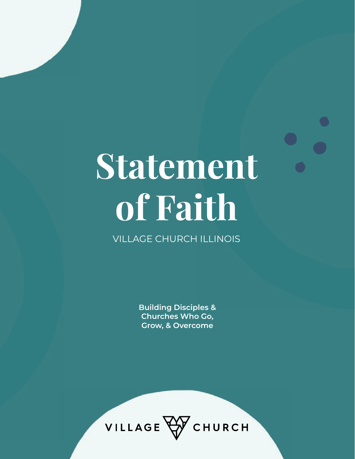# **Statement of Faith**

VILLAGE CHURCH ILLINOIS

**Building Disciples & Churches Who Go, Grow, & Overcome**

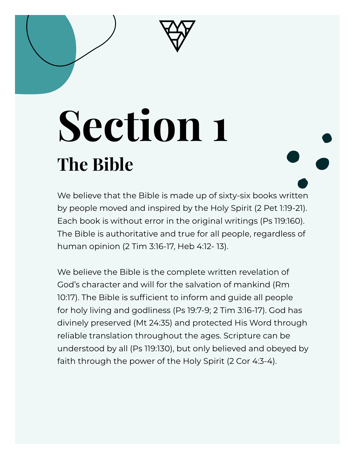# **Section 1 The Bible**

We believe that the Bible is made up of sixty-six books written by people moved and inspired by the Holy Spirit (2 Pet 1:19-21). Each book is without error in the original writings (Ps 119:160). The Bible is authoritative and true for all people, regardless of human opinion (2 Tim 3:16-17, Heb 4:12- 13).

We believe the Bible is the complete written revelation of God's character and will for the salvation of mankind (Rm 10:17). The Bible is sufficient to inform and guide all people for holy living and godliness (Ps 19:7-9; 2 Tim 3:16-17). God has divinely preserved (Mt 24:35) and protected His Word through reliable translation throughout the ages. Scripture can be understood by all (Ps 119:130), but only believed and obeyed by faith through the power of the Holy Spirit (2 Cor 4:3-4).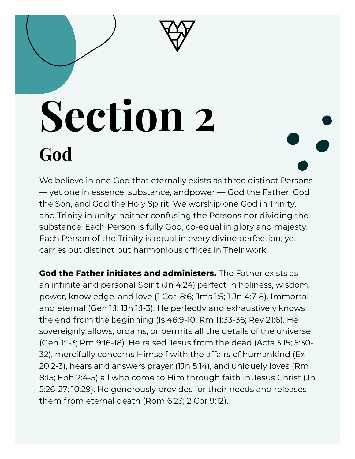

## **Section 2 God**

We believe in one God that eternally exists as three distinct Persons — yet one in essence, substance, andpower — God the Father, God the Son, and God the Holy Spirit. We worship one God in Trinity, and Trinity in unity; neither confusing the Persons nor dividing the substance. Each Person is fully God, co-equal in glory and majesty. Each Person of the Trinity is equal in every divine perfection, yet carries out distinct but harmonious offices in Their work.

**God the Father initiates and administers.** The Father exists as an infinite and personal Spirit (Jn 4:24) perfect in holiness, wisdom, power, knowledge, and love (1 Cor. 8:6; Jms 1:5; 1 Jn 4:7-8). Immortal and eternal (Gen 1:1; 1Jn 1:1-3), He perfectly and exhaustively knows the end from the beginning (Is 46:9-10; Rm 11:33-36; Rev 21:6). He sovereignly allows, ordains, or permits all the details of the universe (Gen 1:1-3; Rm 9:16-18). He raised Jesus from the dead (Acts 3:15; 5:30- 32), mercifully concerns Himself with the affairs of humankind (Ex 20:2-3), hears and answers prayer (1Jn 5:14), and uniquely loves (Rm 8:15; Eph 2:4-5) all who come to Him through faith in Jesus Christ (Jn 5:26-27; 10:29). He generously provides for their needs and releases them from eternal death (Rom 6:23; 2 Cor 9:12).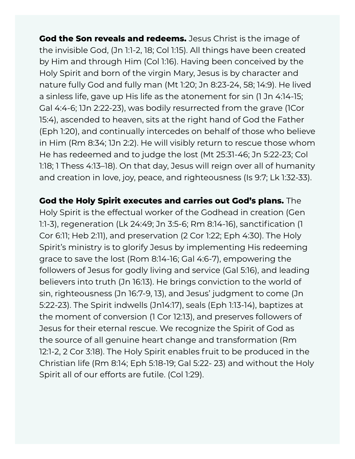**God the Son reveals and redeems.** Jesus Christ is the image of the invisible God, (Jn 1:1-2, 18; Col 1:15). All things have been created by Him and through Him (Col 1:16). Having been conceived by the Holy Spirit and born of the virgin Mary, Jesus is by character and nature fully God and fully man (Mt 1:20; Jn 8:23-24, 58; 14:9). He lived a sinless life, gave up His life as the atonement for sin (1 Jn 4:14-15; Gal 4:4-6; 1Jn 2:22-23), was bodily resurrected from the grave (1Cor 15:4), ascended to heaven, sits at the right hand of God the Father (Eph 1:20), and continually intercedes on behalf of those who believe in Him (Rm 8:34; 1Jn 2:2). He will visibly return to rescue those whom He has redeemed and to judge the lost (Mt 25:31-46; Jn 5:22-23; Col 1:18; 1 Thess 4:13–18). On that day, Jesus will reign over all of humanity and creation in love, joy, peace, and righteousness (Is 9:7; Lk 1:32-33).

**God the Holy Spirit executes and carries out God's plans.** The Holy Spirit is the effectual worker of the Godhead in creation (Gen 1:1-3), regeneration (Lk 24:49; Jn 3:5-6; Rm 8:14-16), sanctification (1 Cor 6:11; Heb 2:11), and preservation (2 Cor 1:22; Eph 4:30). The Holy Spirit's ministry is to glorify Jesus by implementing His redeeming grace to save the lost (Rom 8:14-16; Gal 4:6-7), empowering the followers of Jesus for godly living and service (Gal 5:16), and leading believers into truth (Jn 16:13). He brings conviction to the world of sin, righteousness (Jn 16:7-9, 13), and Jesus' judgment to come (Jn 5:22-23). The Spirit indwells (Jn14:17), seals (Eph 1:13-14), baptizes at the moment of conversion (1 Cor 12:13), and preserves followers of Jesus for their eternal rescue. We recognize the Spirit of God as the source of all genuine heart change and transformation (Rm 12:1-2, 2 Cor 3:18). The Holy Spirit enables fruit to be produced in the Christian life (Rm 8:14; Eph 5:18-19; Gal 5:22- 23) and without the Holy Spirit all of our efforts are futile. (Col 1:29).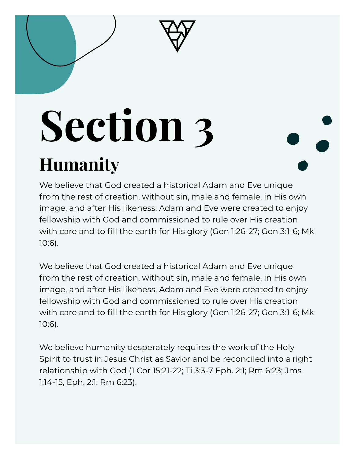# **Section 3**

### **Humanity**

We believe that God created a historical Adam and Eve unique from the rest of creation, without sin, male and female, in His own image, and after His likeness. Adam and Eve were created to enjoy fellowship with God and commissioned to rule over His creation with care and to fill the earth for His glory (Gen 1:26-27; Gen 3:1-6; Mk 10:6).

We believe that God created a historical Adam and Eve unique from the rest of creation, without sin, male and female, in His own image, and after His likeness. Adam and Eve were created to enjoy fellowship with God and commissioned to rule over His creation with care and to fill the earth for His glory (Gen 1:26-27; Gen 3:1-6; Mk 10:6).

We believe humanity desperately requires the work of the Holy Spirit to trust in Jesus Christ as Savior and be reconciled into a right relationship with God (1 Cor 15:21-22; Ti 3:3-7 Eph. 2:1; Rm 6:23; Jms 1:14-15, Eph. 2:1; Rm 6:23).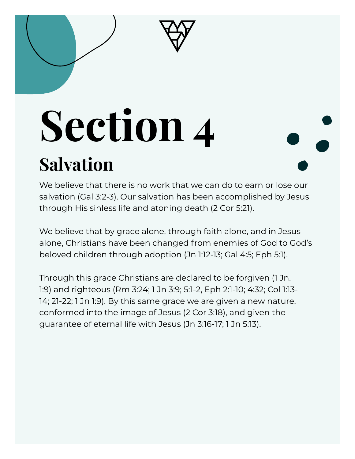## **Section 4 Salvation**

We believe that there is no work that we can do to earn or lose our salvation (Gal 3:2-3). Our salvation has been accomplished by Jesus through His sinless life and atoning death (2 Cor 5:21).

We believe that by grace alone, through faith alone, and in Jesus alone, Christians have been changed from enemies of God to God's beloved children through adoption (Jn 1:12-13; Gal 4:5; Eph 5:1).

Through this grace Christians are declared to be forgiven (1 Jn. 1:9) and righteous (Rm 3:24; 1 Jn 3:9; 5:1-2, Eph 2:1-10; 4:32; Col 1:13- 14; 21-22; 1 Jn 1:9). By this same grace we are given a new nature, conformed into the image of Jesus (2 Cor 3:18), and given the guarantee of eternal life with Jesus (Jn 3:16-17; 1 Jn 5:13).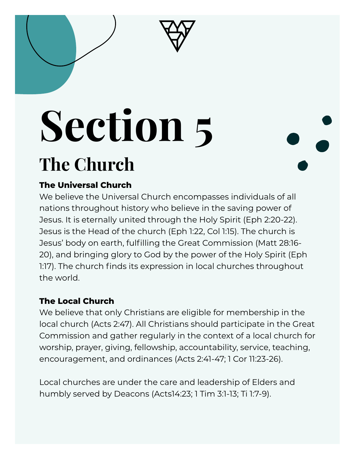# **Section 5**

### **The Church**

#### **The Universal Church**

We believe the Universal Church encompasses individuals of all nations throughout history who believe in the saving power of Jesus. It is eternally united through the Holy Spirit (Eph 2:20-22). Jesus is the Head of the church (Eph 1:22, Col 1:15). The church is Jesus' body on earth, fulfilling the Great Commission (Matt 28:16- 20), and bringing glory to God by the power of the Holy Spirit (Eph 1:17). The church finds its expression in local churches throughout the world.

#### **The Local Church**

We believe that only Christians are eligible for membership in the local church (Acts 2:47). All Christians should participate in the Great Commission and gather regularly in the context of a local church for worship, prayer, giving, fellowship, accountability, service, teaching, encouragement, and ordinances (Acts 2:41-47; 1 Cor 11:23-26).

Local churches are under the care and leadership of Elders and humbly served by Deacons (Acts14:23; 1 Tim 3:1-13; Ti 1:7-9).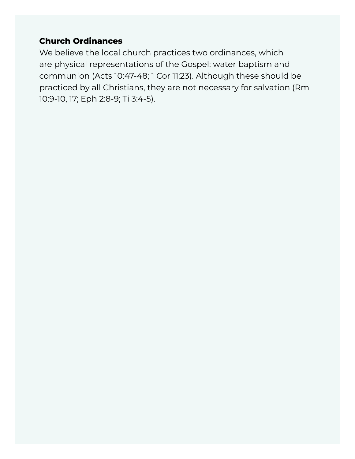#### **Church Ordinances**

We believe the local church practices two ordinances, which are physical representations of the Gospel: water baptism and communion (Acts 10:47-48; 1 Cor 11:23). Although these should be practiced by all Christians, they are not necessary for salvation (Rm 10:9-10, 17; Eph 2:8-9; Ti 3:4-5).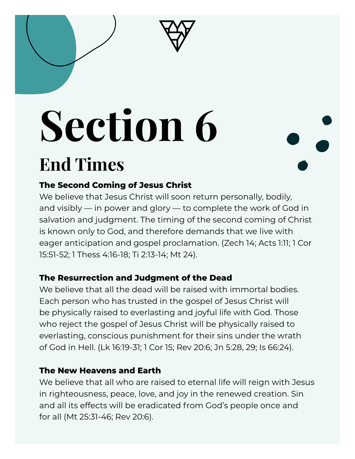# **Section 6**

### **End Times**

#### **The Second Coming of Jesus Christ**

We believe that Jesus Christ will soon return personally, bodily, and visibly — in power and glory — to complete the work of God in salvation and judgment. The timing of the second coming of Christ is known only to God, and therefore demands that we live with eager anticipation and gospel proclamation. (Zech 14; Acts 1:11; 1 Cor 15:51-52; 1 Thess 4:16-18; Ti 2:13-14; Mt 24).

#### **The Resurrection and Judgment of the Dead**

We believe that all the dead will be raised with immortal bodies. Each person who has trusted in the gospel of Jesus Christ will be physically raised to everlasting and joyful life with God. Those who reject the gospel of Jesus Christ will be physically raised to everlasting, conscious punishment for their sins under the wrath of God in Hell. (Lk 16:19-31; 1 Cor 15; Rev 20:6; Jn 5:28, 29; Is 66:24).

#### **The New Heavens and Earth**

We believe that all who are raised to eternal life will reign with Jesus in righteousness, peace, love, and joy in the renewed creation. Sin and all its effects will be eradicated from God's people once and for all (Mt 25:31-46; Rev 20:6).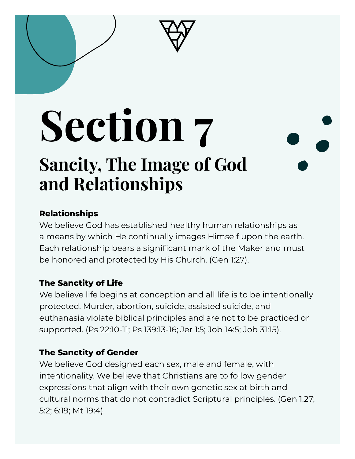## **Section 7 Sancity, The Image of God and Relationships**

#### **Relationships**

We believe God has established healthy human relationships as a means by which He continually images Himself upon the earth. Each relationship bears a significant mark of the Maker and must be honored and protected by His Church. (Gen 1:27).

#### **The Sanctity of Life**

We believe life begins at conception and all life is to be intentionally protected. Murder, abortion, suicide, assisted suicide, and euthanasia violate biblical principles and are not to be practiced or supported. (Ps 22:10-11; Ps 139:13-16; Jer 1:5; Job 14:5; Job 31:15).

#### **The Sanctity of Gender**

We believe God designed each sex, male and female, with intentionality. We believe that Christians are to follow gender expressions that align with their own genetic sex at birth and cultural norms that do not contradict Scriptural principles. (Gen 1:27; 5:2; 6:19; Mt 19:4).